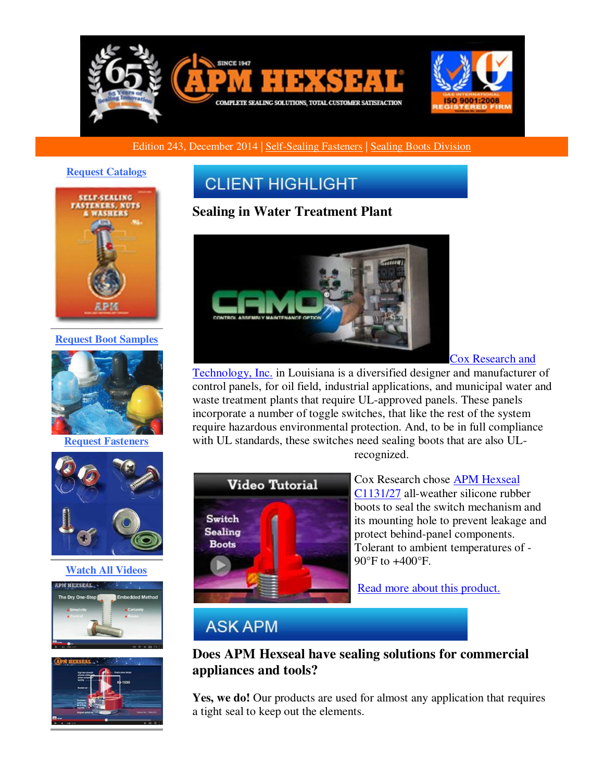

## Edition 243, December 2014 | [Self-Sealing Fasteners](http://r20.rs6.net/tn.jsp?f=00156DkjbtqQHXATICvrTi5UeenNzUnwLzKL4pFOEs75Vow3A867ASPqgtPlr9NOXKc_kpQRArcjB2Ca7F_DtVc6_Bc_7CM550TxgWDKxs2V7SHsibMXLtVklqinteGMr-k7ZKyW7jR47WXVNr1DfaNhNjIl2Loo2t3yehA7t19V0eR6bqowcTIqVkstIso4NA6EJFYzAFOkL9UjYu2UkftZA==&c=xmkvkB7lftf6S_W2gT4niRtQ4wAUixtQwhnr9dv7TuDUyO2-OweGAQ==&ch=B_xdyKjLhbOZYIymZ-89LH15AauGiTrPCX6Y7Do5hUcryqTZraIDvg==) | [Sealing Boots Division](http://r20.rs6.net/tn.jsp?f=00156DkjbtqQHXATICvrTi5UeenNzUnwLzKL4pFOEs75Vow3A867ASPqoHbijs2l4XCPmNQ1JyOmQqcKHtEQ_Z8zFbQ2VLBFv3zbHBUID0Fxz4VLJi2pvSaSKhTj2MzRrNqm3XJot3mwYsFHtgaQOCqRlyYpm5xmyiIn4iqPWAXYtXQC6FU9A8flaceLHbIKjB3_UxIDM74vXg=&c=xmkvkB7lftf6S_W2gT4niRtQ4wAUixtQwhnr9dv7TuDUyO2-OweGAQ==&ch=B_xdyKjLhbOZYIymZ-89LH15AauGiTrPCX6Y7Do5hUcryqTZraIDvg==)

#### **[Request Catalogs](http://r20.rs6.net/tn.jsp?f=00156DkjbtqQHXATICvrTi5UeenNzUnwLzKL4pFOEs75Vow3A867ASPqsZpw7X9_rVRu6teJMai1mmFk6-J2KNqgnAhm88I36RypsUmySREMQRZWeE9oHK5XriwX_-RwR__i5Ungpg-RwYdvM7uVy8gmwGBHwmJ4T4GEWWAYz0A2V4MYvQObAPDqdGywj_Kuwc_&c=xmkvkB7lftf6S_W2gT4niRtQ4wAUixtQwhnr9dv7TuDUyO2-OweGAQ==&ch=B_xdyKjLhbOZYIymZ-89LH15AauGiTrPCX6Y7Do5hUcryqTZraIDvg==)**



**[Request Boot Samples](http://r20.rs6.net/tn.jsp?f=00156DkjbtqQHXATICvrTi5UeenNzUnwLzKL4pFOEs75Vow3A867ASPqsZpw7X9_rVRnOUo4hMXMXPo60a49HWoSZiNHR0Nw_QSdj4lGGOtlscZr3O4hPPrc-jXFAIUD0jk8DKEZZuuW793J0FZGUf1eXcfjHao5uv4hmCWPl9g6-HYq_a_i7VXecnsasLOkbSIBj3fDqbH3hA=&c=xmkvkB7lftf6S_W2gT4niRtQ4wAUixtQwhnr9dv7TuDUyO2-OweGAQ==&ch=B_xdyKjLhbOZYIymZ-89LH15AauGiTrPCX6Y7Do5hUcryqTZraIDvg==)**



**[Request Fasteners](http://r20.rs6.net/tn.jsp?f=00156DkjbtqQHXATICvrTi5UeenNzUnwLzKL4pFOEs75Vow3A867ASPqsZpw7X9_rVR3sDHmpYU-LX8mPPtLGf-AGGi39MonPS3aw4J3ov5cn7IuPg930zlS15S_xGTm169fs9vbaFbIBPLVZ42o7v_PIUio5EAgqZTnDCXT-m0hO05nuAvnJAS05QY3IPR9ukFM-VR8k45S2Y=&c=xmkvkB7lftf6S_W2gT4niRtQ4wAUixtQwhnr9dv7TuDUyO2-OweGAQ==&ch=B_xdyKjLhbOZYIymZ-89LH15AauGiTrPCX6Y7Do5hUcryqTZraIDvg==)**



## **[Watch All Videos](http://r20.rs6.net/tn.jsp?f=00156DkjbtqQHXATICvrTi5UeenNzUnwLzKL4pFOEs75Vow3A867ASPqoHbijs2l4XCiXg7IWwFErsdEk7UxciN8x9tl9ZtVTih4Uwxnw3kB6lN8yiYNbV0HSACn4AikcLOTal933u9zDp_yvS3n0tI2cjxN2X63BZwevE4m9227aVXricRVj08d6jbXIKjdW_4&c=xmkvkB7lftf6S_W2gT4niRtQ4wAUixtQwhnr9dv7TuDUyO2-OweGAQ==&ch=B_xdyKjLhbOZYIymZ-89LH15AauGiTrPCX6Y7Do5hUcryqTZraIDvg==)**





# **CLIENT HIGHLIGHT**

## **Sealing in Water Treatment Plant**



[Cox Research and](http://r20.rs6.net/tn.jsp?f=00156DkjbtqQHXATICvrTi5UeenNzUnwLzKL4pFOEs75Vow3A867ASPqnxPVj45u0IqUpn4PfqvD7YdqJC72rOUH9MKJUNUrGBBgHhPZaoOa2tJX4mzN01WuEXKdkRwbMx8G6U4HAlUszpfdRK0UBYeemtm6iRVTMmldhKZ0PnfgGM6RDsq_MVWLHc4OUqzq4b5&c=xmkvkB7lftf6S_W2gT4niRtQ4wAUixtQwhnr9dv7TuDUyO2-OweGAQ==&ch=B_xdyKjLhbOZYIymZ-89LH15AauGiTrPCX6Y7Do5hUcryqTZraIDvg==) 

[Technology, Inc.](http://r20.rs6.net/tn.jsp?f=00156DkjbtqQHXATICvrTi5UeenNzUnwLzKL4pFOEs75Vow3A867ASPqnxPVj45u0IqUpn4PfqvD7YdqJC72rOUH9MKJUNUrGBBgHhPZaoOa2tJX4mzN01WuEXKdkRwbMx8G6U4HAlUszpfdRK0UBYeemtm6iRVTMmldhKZ0PnfgGM6RDsq_MVWLHc4OUqzq4b5&c=xmkvkB7lftf6S_W2gT4niRtQ4wAUixtQwhnr9dv7TuDUyO2-OweGAQ==&ch=B_xdyKjLhbOZYIymZ-89LH15AauGiTrPCX6Y7Do5hUcryqTZraIDvg==) in Louisiana is a diversified designer and manufacturer of control panels, for oil field, industrial applications, and municipal water and waste treatment plants that require UL-approved panels. These panels incorporate a number of toggle switches, that like the rest of the system require hazardous environmental protection. And, to be in full compliance with UL standards, these switches need sealing boots that are also UL-



recognized.

Cox Research chose [APM Hexseal](http://r20.rs6.net/tn.jsp?f=00156DkjbtqQHXATICvrTi5UeenNzUnwLzKL4pFOEs75Vow3A867ASPqiZ342xqPUMYKScDg2pmiF2BtBYPvTMmMf0UZvPFB4uOQeGg3pDe1qNzo0rV2eaY6_RJ-oebeOVIpujS5lqmOdOBQiaZkgRWg64DkZxVFXcpPpDWLbsyk-9qjyTCWBHK-aR13cjYSB9gatb-UJyqn4M1bM3iBA4zV58tVXKnk0ID&c=xmkvkB7lftf6S_W2gT4niRtQ4wAUixtQwhnr9dv7TuDUyO2-OweGAQ==&ch=B_xdyKjLhbOZYIymZ-89LH15AauGiTrPCX6Y7Do5hUcryqTZraIDvg==)  [C1131/27](http://r20.rs6.net/tn.jsp?f=00156DkjbtqQHXATICvrTi5UeenNzUnwLzKL4pFOEs75Vow3A867ASPqiZ342xqPUMYKScDg2pmiF2BtBYPvTMmMf0UZvPFB4uOQeGg3pDe1qNzo0rV2eaY6_RJ-oebeOVIpujS5lqmOdOBQiaZkgRWg64DkZxVFXcpPpDWLbsyk-9qjyTCWBHK-aR13cjYSB9gatb-UJyqn4M1bM3iBA4zV58tVXKnk0ID&c=xmkvkB7lftf6S_W2gT4niRtQ4wAUixtQwhnr9dv7TuDUyO2-OweGAQ==&ch=B_xdyKjLhbOZYIymZ-89LH15AauGiTrPCX6Y7Do5hUcryqTZraIDvg==) all-weather silicone rubber boots to seal the switch mechanism and its mounting hole to prevent leakage and protect behind-panel components. Tolerant to ambient temperatures of - 90°F to +400°F.

[Read more about this product.](http://r20.rs6.net/tn.jsp?f=00156DkjbtqQHXATICvrTi5UeenNzUnwLzKL4pFOEs75Vow3A867ASPqiZ342xqPUMYKScDg2pmiF2BtBYPvTMmMf0UZvPFB4uOQeGg3pDe1qNzo0rV2eaY6_RJ-oebeOVIpujS5lqmOdOBQiaZkgRWg64DkZxVFXcpPpDWLbsyk-9qjyTCWBHK-aR13cjYSB9gatb-UJyqn4M1bM3iBA4zV58tVXKnk0ID&c=xmkvkB7lftf6S_W2gT4niRtQ4wAUixtQwhnr9dv7TuDUyO2-OweGAQ==&ch=B_xdyKjLhbOZYIymZ-89LH15AauGiTrPCX6Y7Do5hUcryqTZraIDvg==)

## **ASK APM**

## **Does APM Hexseal have sealing solutions for commercial appliances and tools?**

Yes, we do! Our products are used for almost any application that requires a tight seal to keep out the elements.